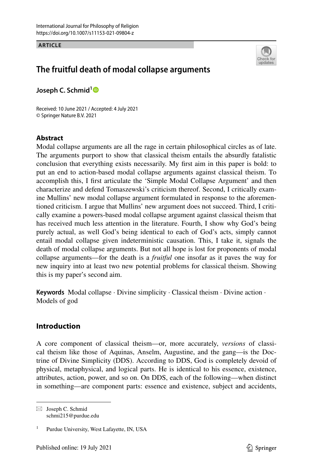#### **ARTICLE**



# **The fruitful death of modal collapse arguments**

**Joseph C. Schmid[1](http://orcid.org/0000-0001-7892-6311)**

Received: 10 June 2021 / Accepted: 4 July 2021 © Springer Nature B.V. 2021

## **Abstract**

Modal collapse arguments are all the rage in certain philosophical circles as of late. The arguments purport to show that classical theism entails the absurdly fatalistic conclusion that everything exists necessarily. My frst aim in this paper is bold: to put an end to action-based modal collapse arguments against classical theism. To accomplish this, I frst articulate the 'Simple Modal Collapse Argument' and then characterize and defend Tomaszewski's criticism thereof. Second, I critically examine Mullins' new modal collapse argument formulated in response to the aforementioned criticism. I argue that Mullins' new argument does not succeed. Third, I critically examine a powers-based modal collapse argument against classical theism that has received much less attention in the literature. Fourth, I show why God's being purely actual, as well God's being identical to each of God's acts, simply cannot entail modal collapse given indeterministic causation. This, I take it, signals the death of modal collapse arguments. But not all hope is lost for proponents of modal collapse arguments—for the death is a *fruitful* one insofar as it paves the way for new inquiry into at least two new potential problems for classical theism. Showing this is my paper's second aim.

**Keywords** Modal collapse · Divine simplicity · Classical theism · Divine action · Models of god

# **Introduction**

A core component of classical theism—or, more accurately, *versions* of classical theism like those of Aquinas, Anselm, Augustine, and the gang—is the Doctrine of Divine Simplicity (DDS). According to DDS, God is completely devoid of physical, metaphysical, and logical parts. He is identical to his essence, existence, attributes, action, power, and so on. On DDS, each of the following—when distinct in something—are component parts: essence and existence, subject and accidents,

 $\boxtimes$  Joseph C. Schmid schmi215@purdue.edu

<sup>1</sup> Purdue University, West Lafayette, IN, USA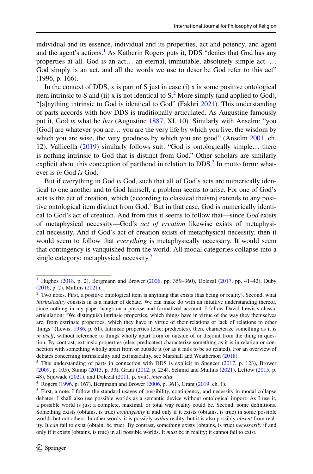individual and its essence, individual and its properties, act and potency, and agent and the agent's actions.<sup>[1](#page-1-0)</sup> As Katherin Rogers puts it, DDS "denies that God has any properties at all. God is an act… an eternal, immutable, absolutely simple act. … God simply is an act, and all the words we use to describe God refer to this act" (1996, p. 166).

In the context of DDS,  $x$  is part of S just in case (i)  $x$  is some positive ontological item intrinsic to S and (ii) x is not identical to  $S<sup>2</sup>$  More simply (and applied to God), "[a]nything intrinsic to God is identical to God" (Fakhri [2021](#page-18-0)). This understanding of parts accords with how DDS is traditionally articulated. As Augustine famously put it, God *is* what he *has* (Augustine [1887](#page-18-1), XI, 10). Similarly with Anselm: "you [God] are whatever you are... you are the very life by which you live, the wisdom by which you are wise, the very goodness by which you are good" (Anselm [2001,](#page-18-2) ch. 12). Vallicella ([2019\)](#page-19-0) similarly follows suit: "God is ontologically simple… there is nothing intrinsic to God that is distinct from God." Other scholars are similarly explicit about this conception of parthood in relation to  $DDS<sup>3</sup>$  $DDS<sup>3</sup>$  $DDS<sup>3</sup>$  In motto form: whatever is *in* God *is* God.

But if everything in God *is* God, such that all of God's acts are numerically identical to one another and to God himself, a problem seems to arise. For one of God's acts is the act of creation, which (according to classical theism) extends to any positive ontological item distinct from God.[4](#page-1-3) But in that case, God is numerically identical to God's act of creation. And from this it seems to follow that—since *God* exists of metaphysical necessity—God's *act of creation* likewise exists of metaphysical necessity. And if God's act of creation exists of metaphysical necessity, then it would seem to follow that *everything* is metaphysically necessary. It would seem that contingency is vanquished from the world. All modal categories collapse into a single category: metaphysical necessity.<sup>[5](#page-1-4)</sup>

<span id="page-1-0"></span><sup>&</sup>lt;sup>1</sup> Hughes ([2018,](#page-19-1) p. 2), Bergmann and Brower [\(2006](#page-18-3), pp. 359–360), Dolezal [\(2017](#page-18-4), pp. 41–42), Duby ([2016,](#page-18-5) p. 2), Mullins ([2021\)](#page-19-2).

<span id="page-1-1"></span><sup>&</sup>lt;sup>2</sup> Two notes. First, a positive ontological item is anything that exists (has being or reality). Second, what *intrinsicality* consists in is a matter of debate. We can make do with an intuitive understanding thereof, since nothing in my paper hangs on a precise and formalized account. I follow David Lewis's classic articulation: "We distinguish intrinsic properties, which things have in virtue of the way they themselves are, from extrinsic properties, which they have in virtue of their relations or lack of relations to other things" (Lewis, [1986](#page-19-3), p. 61). Intrinsic properties (else: predicates), then, characterize something as it is *in itself*, without reference to things wholly apart from or outside of or disjoint from the thing in question. By contrast, extrinsic properties (else: predicates) characterize something as it is in relation or connection with something wholly apart from or outside it (or as it fails to be so related). For an overview of debates concerning intrinsicality and extrinsicality, see Marshall and Weatherson ([2018\)](#page-19-4).

<span id="page-1-2"></span><sup>&</sup>lt;sup>3</sup> This understanding of parts in connection with DDS is explicit in Spencer [\(2017](#page-19-5), p. 123), Brower ([2009,](#page-18-6) p. 105), Stump ([2013,](#page-19-6) p. 33), Grant [\(2012](#page-18-7), p. 254), Schmid and Mullins [\(2021](#page-19-7)), Leftow [\(2015](#page-19-8), p. 48), Sijuwade ([2021\)](#page-19-9), and Dolezal [\(2011](#page-18-8), p. xvii), *inter alia*.

<span id="page-1-3"></span><sup>4</sup> Rogers ([1996,](#page-19-10) p. 167), Bergmann and Brower ([2006,](#page-18-3) p. 361), Grant [\(2019](#page-18-9), ch. 1).

<span id="page-1-4"></span> $<sup>5</sup>$  First, a note. I follow the standard usages of possibility, contingency, and necessity in modal collapse</sup> debates. I shall also use possible worlds as a semantic device without ontological import. As I use it, a possible world is just a complete, maximal, or total way reality could be. Second, some defnitions. Something exists (obtains, is true) *contingently* if and only if it exists (obtains, is true) in some possible worlds but not others. In other words, it is possibly *within* reality, but it is also possibly *absent* from reality. It *can* fail to exist (obtain, be true). By contrast, something exists (obtains, is true) *necessarily* if and only if it exists (obtains, is true) in all possible worlds. It *must* be in reality; it cannot fail to exist.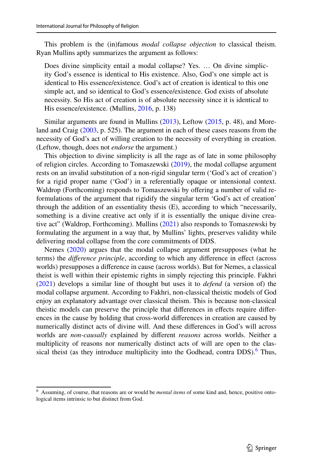This problem is the (in)famous *modal collapse objection* to classical theism. Ryan Mullins aptly summarizes the argument as follows:

Does divine simplicity entail a modal collapse? Yes. … On divine simplicity God's essence is identical to His existence. Also, God's one simple act is identical to His essence/existence. God's act of creation is identical to this one simple act, and so identical to God's essence/existence. God exists of absolute necessity. So His act of creation is of absolute necessity since it is identical to His essence/existence. (Mullins, [2016](#page-19-11), p. 138)

Similar arguments are found in Mullins ([2013\)](#page-19-12), Leftow ([2015,](#page-19-8) p. 48), and Moreland and Craig ([2003,](#page-19-13) p. 525). The argument in each of these cases reasons from the necessity of God's act of willing creation to the necessity of everything in creation. (Leftow, though, does not *endorse* the argument.)

This objection to divine simplicity is all the rage as of late in some philosophy of religion circles. According to Tomaszewski [\(2019](#page-19-14)), the modal collapse argument rests on an invalid substitution of a non-rigid singular term ('God's act of creation') for a rigid proper name ('God') in a referentially opaque or intensional context. Waldrop (Forthcoming) responds to Tomaszewski by offering a number of valid reformulations of the argument that rigidify the singular term 'God's act of creation' through the addition of an essentiality thesis (E), according to which "necessarily, something is a divine creative act only if it is essentially the unique divine creative act" (Waldrop, Forthcoming). Mullins ([2021\)](#page-19-2) also responds to Tomaszewski by formulating the argument in a way that, by Mullins' lights, preserves validity while delivering modal collapse from the core commitments of DDS.

Nemes ([2020\)](#page-19-15) argues that the modal collapse argument presupposes (what he terms) the *diference principle*, according to which any diference in efect (across worlds) presupposes a diference in cause (across worlds). But for Nemes, a classical theist is well within their epistemic rights in simply rejecting this principle. Fakhri [\(2021](#page-18-0)) develops a similar line of thought but uses it to *defend* (a version of) the modal collapse argument. According to Fakhri, non-classical theistic models of God enjoy an explanatory advantage over classical theism. This is because non-classical theistic models can preserve the principle that diferences in efects require diferences in the cause by holding that cross-world diferences in creation are caused by numerically distinct acts of divine will. And these diferences in God's will across worlds are *non-causally* explained by diferent *reasons* across worlds. Neither a multiplicity of reasons nor numerically distinct acts of will are open to the clas-sical theist (as they introduce multiplicity into the Godhead, contra DDS).<sup>[6](#page-2-0)</sup> Thus,

<span id="page-2-0"></span><sup>6</sup> Assuming, of course, that reasons are or would be *mental items* of some kind and, hence, positive ontological items intrinsic to but distinct from God.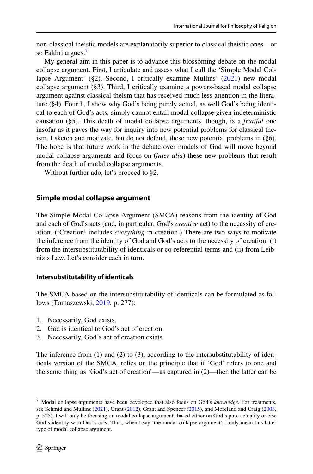non-classical theistic models are explanatorily superior to classical theistic ones—or so Fakhri argues.<sup>[7](#page-3-0)</sup>

My general aim in this paper is to advance this blossoming debate on the modal collapse argument. First, I articulate and assess what I call the 'Simple Modal Collapse Argument' (§2). Second, I critically examine Mullins' [\(2021](#page-19-2)) new modal collapse argument (§3). Third, I critically examine a powers-based modal collapse argument against classical theism that has received much less attention in the literature (§4). Fourth, I show why God's being purely actual, as well God's being identical to each of God's acts, simply cannot entail modal collapse given indeterministic causation (§5). This death of modal collapse arguments, though, is a *fruitful* one insofar as it paves the way for inquiry into new potential problems for classical theism. I sketch and motivate, but do not defend, these new potential problems in (§6). The hope is that future work in the debate over models of God will move beyond modal collapse arguments and focus on (*inter alia*) these new problems that result from the death of modal collapse arguments.

Without further ado, let's proceed to §2.

## **Simple modal collapse argument**

The Simple Modal Collapse Argument (SMCA) reasons from the identity of God and each of God's acts (and, in particular, God's *creative* act) to the necessity of creation. ('Creation' includes *everything* in creation.) There are two ways to motivate the inference from the identity of God and God's acts to the necessity of creation: (i) from the intersubstitutability of identicals or co-referential terms and (ii) from Leibniz's Law. Let's consider each in turn.

#### **Intersubstitutability of identicals**

The SMCA based on the intersubstitutability of identicals can be formulated as follows (Tomaszewski, [2019,](#page-19-14) p. 277):

- 1. Necessarily, God exists.
- 2. God is identical to God's act of creation.
- 3. Necessarily, God's act of creation exists.

The inference from  $(1)$  and  $(2)$  to  $(3)$ , according to the intersubstitutability of identicals version of the SMCA, relies on the principle that if 'God' refers to one and the same thing as 'God's act of creation'—as captured in (2)—then the latter can be

<span id="page-3-0"></span><sup>7</sup> Modal collapse arguments have been developed that also focus on God's *knowledge*. For treatments, see Schmid and Mullins ([2021\)](#page-19-7), Grant [\(2012](#page-18-7)), Grant and Spencer [\(2015](#page-18-10)), and Moreland and Craig [\(2003](#page-19-13), p. 525). I will only be focusing on modal collapse arguments based either on God's pure actuality or else God's identity with God's acts. Thus, when I say 'the modal collapse argument', I only mean this latter type of modal collapse argument.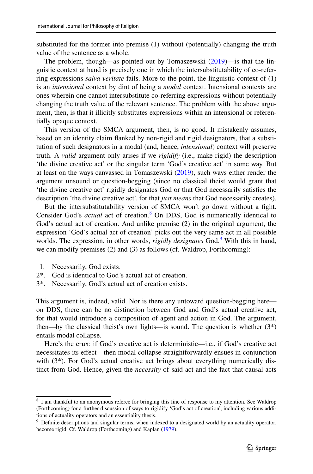substituted for the former into premise (1) without (potentially) changing the truth value of the sentence as a whole.

The problem, though—as pointed out by Tomaszewski ([2019\)](#page-19-14)—is that the linguistic context at hand is precisely one in which the intersubstitutability of co-referring expressions *salva veritate* fails. More to the point, the linguistic context of (1) is an *intensional* context by dint of being a *modal* context. Intensional contexts are ones wherein one cannot intersubstitute co-referring expressions without potentially changing the truth value of the relevant sentence. The problem with the above argument, then, is that it illicitly substitutes expressions within an intensional or referentially opaque context.

This version of the SMCA argument, then, is no good. It mistakenly assumes, based on an identity claim fanked by non-rigid and rigid designators, that a substitution of such designators in a modal (and, hence, *intensional*) context will preserve truth. A *valid* argument only arises if we *rigidify* (i.e., make rigid) the description 'the divine creative act' or the singular term 'God's creative act' in some way. But at least on the ways canvassed in Tomaszewski ([2019\)](#page-19-14), such ways either render the argument unsound or question-begging (since no classical theist would grant that 'the divine creative act' rigidly designates God or that God necessarily satisfes the description 'the divine creative act', for that *just means* that God necessarily creates).

But the intersubstitutability version of SMCA won't go down without a fght. Consider God's *actual* act of creation.<sup>[8](#page-4-0)</sup> On DDS, God is numerically identical to God's actual act of creation. And unlike premise (2) in the original argument, the expression 'God's actual act of creation' picks out the very same act in all possible worlds. The expression, in other words, *rigidly designates* God.<sup>[9](#page-4-1)</sup> With this in hand, we can modify premises (2) and (3) as follows (cf. Waldrop, Forthcoming):

- 1. Necessarily, God exists.
- 2\*. God is identical to God's actual act of creation.
- 3\*. Necessarily, God's actual act of creation exists.

This argument is, indeed, valid. Nor is there any untoward question-begging here on DDS, there can be no distinction between God and God's actual creative act, for that would introduce a composition of agent and action in God. The argument, then—by the classical theist's own lights—is sound. The question is whether  $(3^*)$ entails modal collapse.

Here's the crux: if God's creative act is deterministic—i.e., if God's creative act necessitates its efect—then modal collapse straightforwardly ensues in conjunction with (3<sup>\*</sup>). For God's actual creative act brings about everything numerically distinct from God. Hence, given the *necessity* of said act and the fact that causal acts

<span id="page-4-0"></span><sup>8</sup> I am thankful to an anonymous referee for bringing this line of response to my attention. See Waldrop (Forthcoming) for a further discussion of ways to rigidify 'God's act of creation', including various additions of actuality operators and an essentiality thesis.

<span id="page-4-1"></span><sup>&</sup>lt;sup>9</sup> Definite descriptions and singular terms, when indexed to a designated world by an actuality operator, become rigid. Cf. Waldrop (Forthcoming) and Kaplan ([1979\)](#page-19-16).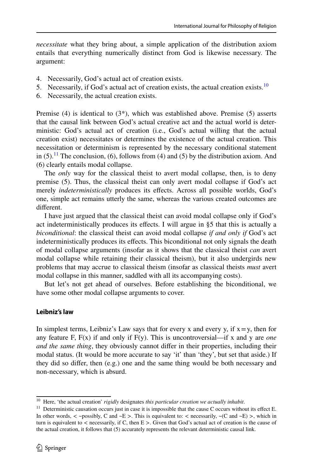*necessitate* what they bring about, a simple application of the distribution axiom entails that everything numerically distinct from God is likewise necessary. The argument:

- 4. Necessarily, God's actual act of creation exists.
- 5. Necessarily, if God's actual act of creation exists, the actual creation exists.<sup>[10](#page-5-0)</sup>
- 6. Necessarily, the actual creation exists.

Premise  $(4)$  is identical to  $(3^*)$ , which was established above. Premise  $(5)$  asserts that the causal link between God's actual creative act and the actual world is deterministic: God's actual act of creation (i.e., God's actual willing that the actual creation exist) necessitates or determines the existence of the actual creation. This necessitation or determinism is represented by the necessary conditional statement in  $(5)$ .<sup>11</sup> The conclusion, (6), follows from (4) and (5) by the distribution axiom. And (6) clearly entails modal collapse.

The *only* way for the classical theist to avert modal collapse, then, is to deny premise (5). Thus, the classical theist can only avert modal collapse if God's act merely *indeterministically* produces its effects. Across all possible worlds, God's one, simple act remains utterly the same, whereas the various created outcomes are diferent.

I have just argued that the classical theist can avoid modal collapse only if God's act indeterministically produces its effects. I will argue in §5 that this is actually a *biconditional*: the classical theist can avoid modal collapse *if and only if* God's act indeterministically produces its efects. This biconditional not only signals the death of modal collapse arguments (insofar as it shows that the classical theist *can* avert modal collapse while retaining their classical theism), but it also undergirds new problems that may accrue to classical theism (insofar as classical theists *must* avert modal collapse in this manner, saddled with all its accompanying costs).

But let's not get ahead of ourselves. Before establishing the biconditional, we have some other modal collapse arguments to cover.

#### **Leibniz's law**

In simplest terms, Leibniz's Law says that for every x and every y, if  $x = y$ , then for any feature F,  $F(x)$  if and only if  $F(y)$ . This is uncontroversial—if x and y are *one and the same thing*, they obviously cannot difer in their properties, including their modal status. (It would be more accurate to say 'it' than 'they', but set that aside.) If they did so differ, then  $(e.g.)$  one and the same thing would be both necessary and non-necessary, which is absurd.

<span id="page-5-0"></span><sup>10</sup> Here, 'the actual creation' *rigidly* designates *this particular creation we actually inhabit*.

<span id="page-5-1"></span><sup>&</sup>lt;sup>11</sup> Deterministic causation occurs just in case it is impossible that the cause C occurs without its effect E. In other words,  $\langle$  ~possibly, C and ~E >. This is equivalent to:  $\langle$  necessarily, ~(C and ~E) >, which in turn is equivalent to  $\lt$  necessarily, if C, then  $E$   $\gt$ . Given that God's actual act of creation is the cause of the actual creation, it follows that (5) accurately represents the relevant deterministic causal link.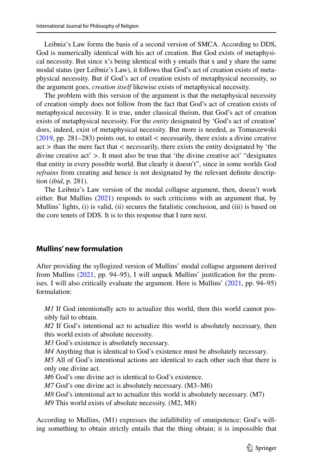Leibniz's Law forms the basis of a second version of SMCA. According to DDS, God is numerically identical with his act of creation. But God exists of metaphysical necessity. But since x's being identical with y entails that x and y share the same modal status (per Leibniz's Law), it follows that God's act of creation exists of metaphysical necessity. But if God's act of creation exists of metaphysical necessity, so the argument goes, *creation itself* likewise exists of metaphysical necessity.

The problem with this version of the argument is that the metaphysical necessity of creation simply does not follow from the fact that God's act of creation exists of metaphysical necessity. It is true, under classical theism, that God's act of creation exists of metaphysical necessity. For the *entity* designated by 'God's act of creation' does, indeed, exist of metaphysical necessity. But more is needed, as Tomaszewski  $(2019, pp. 281–283)$  $(2019, pp. 281–283)$  points out, to entail  $\lt$  necessarily, there exists a divine creative act > than the mere fact that < necessarily, there exists the entity designated by 'the divine creative act'  $>$ . It must also be true that 'the divine creative act' "designates" that entity in every possible world. But clearly it doesn't", since in some worlds God *refrains* from creating and hence is not designated by the relevant defnite description (*ibid*, p. 281).

The Leibniz's Law version of the modal collapse argument, then, doesn't work either. But Mullins ([2021\)](#page-19-2) responds to such criticisms with an argument that, by Mullins' lights, (i) is valid, (ii) secures the fatalistic conclusion, and (iii) is based on the core tenets of DDS. It is to this response that I turn next.

# **Mullins' new formulation**

After providing the syllogized version of Mullins' modal collapse argument derived from Mullins ([2021,](#page-19-2) pp. 94–95), I will unpack Mullins' justifcation for the premises. I will also critically evaluate the argument. Here is Mullins' [\(2021](#page-19-2), pp. 94–95) formulation:

*M1* If God intentionally acts to actualize this world, then this world cannot possibly fail to obtain.

*M2* If God's intentional act to actualize this world is absolutely necessary, then this world exists of absolute necessity.

*M3* God's existence is absolutely necessary.

*M4* Anything that is identical to God's existence must be absolutely necessary.

*M5* All of God's intentional actions are identical to each other such that there is only one divine act.

*M6* God's one divine act is identical to God's existence.

*M7* God's one divine act is absolutely necessary. (M3–M6)

*M8* God's intentional act to actualize this world is absolutely necessary. (M7)

*M9* This world exists of absolute necessity. (M2, M8)

According to Mullins, (M1) expresses the infallibility of omnipotence: God's willing something to obtain strictly entails that the thing obtain; it is impossible that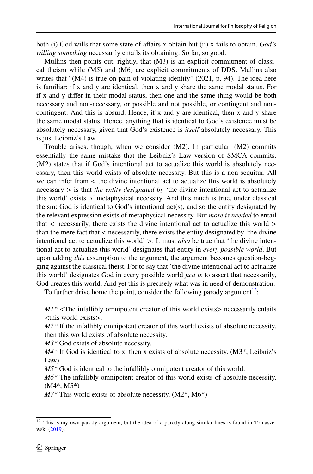both (i) God wills that some state of afairs x obtain but (ii) x fails to obtain. *God's willing something* necessarily entails its obtaining. So far, so good.

Mullins then points out, rightly, that (M3) is an explicit commitment of classical theism while (M5) and (M6) are explicit commitments of DDS. Mullins also writes that "(M4) is true on pain of violating identity" (2021, p. 94). The idea here is familiar: if x and y are identical, then x and y share the same modal status. For if x and y difer in their modal status, then one and the same thing would be both necessary and non-necessary, or possible and not possible, or contingent and noncontingent. And this is absurd. Hence, if x and y are identical, then x and y share the same modal status. Hence, anything that is identical to God's existence must be absolutely necessary, given that God's existence is *itself* absolutely necessary. This is just Leibniz's Law.

Trouble arises, though, when we consider (M2). In particular, (M2) commits essentially the same mistake that the Leibniz's Law version of SMCA commits. (M2) states that if God's intentional act to actualize this world is absolutely necessary, then this world exists of absolute necessity. But this is a non-sequitur. All we can infer from  $\lt$  the divine intentional act to actualize this world is absolutely necessary > is that *the entity designated by* 'the divine intentional act to actualize this world' exists of metaphysical necessity. And this much is true, under classical theism: God is identical to God's intentional act(s), and so the entity designated by the relevant expression exists of metaphysical necessity. But *more is needed* to entail that < necessarily, there exists the divine intentional act to actualize this world > than the mere fact that < necessarily, there exists the entity designated by 'the divine intentional act to actualize this world' >. It must *also* be true that 'the divine intentional act to actualize this world' designates that entity in *every possible world*. But upon adding *this* assumption to the argument, the argument becomes question-begging against the classical theist. For to say that 'the divine intentional act to actualize this world' designates God in every possible world *just is* to assert that necessarily, God creates this world. And yet this is precisely what was in need of demonstration.

To further drive home the point, consider the following parody argument<sup>12</sup>:

 $MI^*$  <The infallibly omnipotent creator of this world exists > necessarily entails <this world exists>.

*M2\** If the infallibly omnipotent creator of this world exists of absolute necessity, then this world exists of absolute necessity.

*M3\** God exists of absolute necessity.

*M4\** If God is identical to x, then x exists of absolute necessity. (M3\*, Leibniz's Law)

*M5\** God is identical to the infallibly omnipotent creator of this world.

*M6\** The infallibly omnipotent creator of this world exists of absolute necessity. (M4\*, M5\*)

*M7\** This world exists of absolute necessity. (M2\*, M6\*)

<span id="page-7-0"></span> $12$  This is my own parody argument, but the idea of a parody along similar lines is found in Tomaszewski ([2019\)](#page-19-14).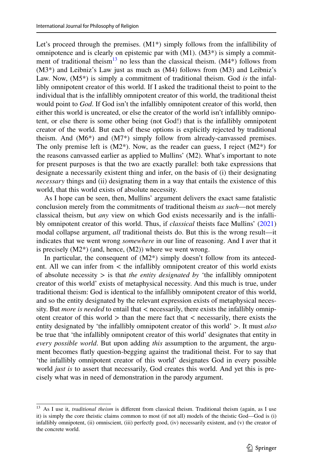Let's proceed through the premises.  $(M1*)$  simply follows from the infallibility of omnipotence and is clearly on epistemic par with  $(M1)$ .  $(M3^*)$  is simply a commitment of traditional theism<sup>13</sup> no less than the classical theism.  $(M4*)$  follows from (M3\*) and Leibniz's Law just as much as (M4) follows from (M3) and Leibniz's Law. Now, (M5\*) is simply a commitment of traditional theism. God *is* the infallibly omnipotent creator of this world. If I asked the traditional theist to point to the individual that is the infallibly omnipotent creator of this world, the traditional theist would point to *God*. If God isn't the infallibly omnipotent creator of this world, then either this world is uncreated, or else the creator of the world isn't infallibly omnipotent, or else there is some other being (not God!) that is the infallibly omnipotent creator of the world. But each of these options is explicitly rejected by traditional theism. And (M6\*) and (M7\*) simply follow from already-canvassed premises. The only premise left is  $(M2^*)$ . Now, as the reader can guess, I reject  $(M2^*)$  for the reasons canvassed earlier as applied to Mullins' (M2). What's important to note for present purposes is that the two are exactly parallel: both take expressions that designate a necessarily existent thing and infer, on the basis of (i) their designating *necessary* things and (ii) designating them in a way that entails the existence of this world, that this world exists of absolute necessity.

As I hope can be seen, then, Mullins' argument delivers the exact same fatalistic conclusion merely from the commitments of traditional theism *as such*—not merely classical theism, but *any* view on which God exists necessarily and is the infallibly omnipotent creator of this world. Thus, if *classical* theists face Mullins' ([2021\)](#page-19-2) modal collapse argument, *all* traditional theists do. But this is the wrong result—it indicates that we went wrong *somewhere* in our line of reasoning. And I aver that it is precisely  $(M2^*)$  (and, hence,  $(M2)$ ) where we went wrong.

In particular, the consequent of  $(M2^*)$  simply doesn't follow from its antecedent. All we can infer from < the infallibly omnipotent creator of this world exists of absolute necessity > is that *the entity designated by* 'the infallibly omnipotent creator of this world' exists of metaphysical necessity. And this much is true, under traditional theism: God is identical to the infallibly omnipotent creator of this world, and so the entity designated by the relevant expression exists of metaphysical necessity. But *more is needed* to entail that < necessarily, there exists the infallibly omnipotent creator of this world  $>$  than the mere fact that  $<$  necessarily, there exists the entity designated by 'the infallibly omnipotent creator of this world' >. It must *also* be true that 'the infallibly omnipotent creator of this world' designates that entity in *every possible world*. But upon adding *this* assumption to the argument, the argument becomes fatly question-begging against the traditional theist. For to say that 'the infallibly omnipotent creator of this world' designates God in every possible world *just is* to assert that necessarily, God creates this world. And yet this is precisely what was in need of demonstration in the parody argument.

<span id="page-8-0"></span><sup>&</sup>lt;sup>13</sup> As I use it, *traditional theism* is different from classical theism. Traditional theism (again, as I use it) is simply the core theistic claims common to most (if not all) models of the theistic God—God is (i) infallibly omnipotent, (ii) omniscient, (iii) perfectly good, (iv) necessarily existent, and (v) the creator of the concrete world.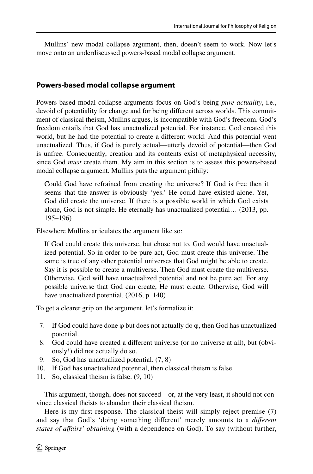Mullins' new modal collapse argument, then, doesn't seem to work. Now let's move onto an underdiscussed powers-based modal collapse argument.

#### **Powers‑based modal collapse argument**

Powers-based modal collapse arguments focus on God's being *pure actuality*, i.e., devoid of potentiality for change and for being diferent across worlds. This commitment of classical theism, Mullins argues, is incompatible with God's freedom. God's freedom entails that God has unactualized potential. For instance, God created this world, but he had the potential to create a diferent world. And this potential went unactualized. Thus, if God is purely actual—utterly devoid of potential—then God is unfree. Consequently, creation and its contents exist of metaphysical necessity, since God *must* create them. My aim in this section is to assess this powers-based modal collapse argument. Mullins puts the argument pithily:

Could God have refrained from creating the universe? If God is free then it seems that the answer is obviously 'yes.' He could have existed alone. Yet, God did create the universe. If there is a possible world in which God exists alone, God is not simple. He eternally has unactualized potential… (2013, pp. 195–196)

Elsewhere Mullins articulates the argument like so:

If God could create this universe, but chose not to, God would have unactualized potential. So in order to be pure act, God must create this universe. The same is true of any other potential universes that God might be able to create. Say it is possible to create a multiverse. Then God must create the multiverse. Otherwise, God will have unactualized potential and not be pure act. For any possible universe that God can create, He must create. Otherwise, God will have unactualized potential. (2016, p. 140)

To get a clearer grip on the argument, let's formalize it:

- 7. If God could have done  $\varphi$  but does not actually do  $\varphi$ , then God has unactualized potential.
- 8. God could have created a diferent universe (or no universe at all), but (obviously!) did not actually do so.
- 9. So, God has unactualized potential. (7, 8)
- 10. If God has unactualized potential, then classical theism is false.
- 11. So, classical theism is false. (9, 10)

This argument, though, does not succeed—or, at the very least, it should not convince classical theists to abandon their classical theism.

Here is my frst response. The classical theist will simply reject premise (7) and say that God's 'doing something diferent' merely amounts to a *diferent states of afairs' obtaining* (with a dependence on God). To say (without further,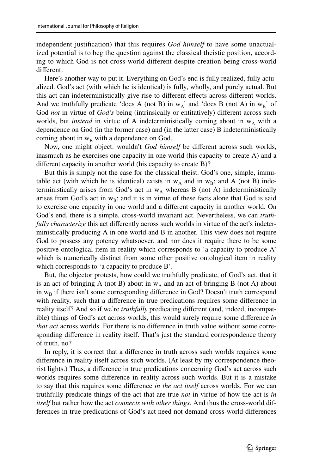independent justifcation) that this requires *God himself* to have some unactualized potential is to beg the question against the classical theistic position, according to which God is not cross-world diferent despite creation being cross-world diferent.

Here's another way to put it. Everything on God's end is fully realized, fully actualized. God's act (with which he is identical) is fully, wholly, and purely actual. But this act can indeterministically give rise to diferent efects across diferent worlds. And we truthfully predicate 'does A (not B) in  $w_A$ ' and 'does B (not A) in  $w_B$ ' of God *not* in virtue of *God's* being (intrinsically or entitatively) diferent across such worlds, but *instead* in virtue of A indeterministically coming about in  $w_A$  with a dependence on God (in the former case) and (in the latter case) B indeterministically coming about in  $w_B$  with a dependence on God.

Now, one might object: wouldn't *God himself* be diferent across such worlds, inasmuch as he exercises one capacity in one world (his capacity to create A) and a diferent capacity in another world (his capacity to create B)?

But this is simply not the case for the classical theist. God's one, simple, immutable act (with which he is identical) exists in  $w_A$  and in  $w_B$ ; and A (not B) indeterministically arises from God's act in  $w_A$  whereas B (not A) indeterministically arises from God's act in  $w_B$ ; and it is in virtue of these facts alone that God is said to exercise one capacity in one world and a diferent capacity in another world. On God's end, there is a simple, cross-world invariant act. Nevertheless, we can *truthfully characterize* this act differently across such worlds in virtue of the act's indeterministically producing A in one world and B in another. This view does not require God to possess any potency whatsoever, and nor does it require there to be some positive ontological item in reality which corresponds to 'a capacity to produce A' which is numerically distinct from some other positive ontological item in reality which corresponds to 'a capacity to produce B'.

But, the objector protests, how could we truthfully predicate, of God's act, that it is an act of bringing A (not B) about in  $w_A$  and an act of bringing B (not A) about in  $w_B$  if there isn't some corresponding difference in God? Doesn't truth correspond with reality, such that a diference in true predications requires some diference in reality itself? And so if we're *truthfully* predicating diferent (and, indeed, incompatible) things of God's act across worlds, this would surely require some diference *in that act* across worlds. For there is no diference in truth value without some corresponding diference in reality itself. That's just the standard correspondence theory of truth, no?

In reply, it is correct that a diference in truth across such worlds requires some diference in reality itself across such worlds. (At least by my correspondence theorist lights.) Thus, a diference in true predications concerning God's act across such worlds requires some diference in reality across such worlds. But it is a mistake to say that this requires some diference *in the act itself* across worlds. For we can truthfully predicate things of the act that are true *not* in virtue of how the act is *in itself* but rather how the act *connects with other things*. And thus the cross-world differences in true predications of God's act need not demand cross-world diferences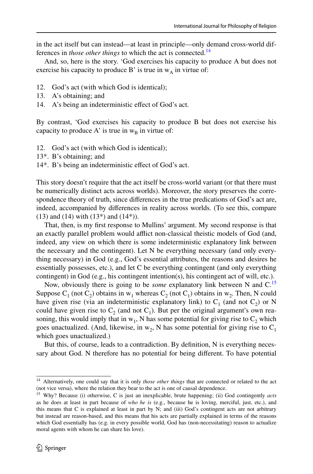in the act itself but can instead—at least in principle—only demand cross-world differences in *those other things* to which the act is connected.<sup>[14](#page-11-0)</sup>

And, so, here is the story. 'God exercises his capacity to produce A but does not exercise his capacity to produce B' is true in  $w_A$  in virtue of:

- 12. God's act (with which God is identical);<br>13. A's obtaining: and
- A's obtaining; and
- 14. A's being an indeterministic efect of God's act.

By contrast, 'God exercises his capacity to produce B but does not exercise his capacity to produce A' is true in  $w_B$  in virtue of:

- 12. God's act (with which God is identical);
- 13\*. B's obtaining; and
- 14\*. B's being an indeterministic efect of God's act.

This story doesn't require that the act itself be cross-world variant (or that there must be numerically distinct acts across worlds). Moreover, the story preserves the correspondence theory of truth, since diferences in the true predications of God's act are, indeed, accompanied by diferences in reality across worlds. (To see this, compare (13) and (14) with  $(13^*)$  and  $(14^*)$ ).

That, then, is my frst response to Mullins' argument. My second response is that an exactly parallel problem would afflict non-classical theistic models of God (and, indeed, any view on which there is some indeterministic explanatory link between the necessary and the contingent). Let N be everything necessary (and only everything necessary) in God (e.g., God's essential attributes, the reasons and desires he essentially possesses, etc.), and let C be everything contingent (and only everything contingent) in God (e.g., his contingent intention(s), his contingent act of will, etc.).

Now, obviously there is going to be *some* explanatory link between N and C[.15](#page-11-1) Suppose C<sub>1</sub> (not C<sub>2</sub>) obtains in w<sub>1</sub> whereas C<sub>2</sub> (not C<sub>1</sub>) obtains in w<sub>2</sub>. Then, N could have given rise (via an indeterministic explanatory link) to  $C_1$  (and not  $C_2$ ) or N could have given rise to  $C_2$  (and not  $C_1$ ). But per the original argument's own reasoning, this would imply that in  $w_1$ , N has some potential for giving rise to  $C_2$  which goes unactualized. (And, likewise, in  $w_2$ , N has some potential for giving rise to  $C_1$ which goes unactualized.)

But this, of course, leads to a contradiction. By defnition, N is everything necessary about God. N therefore has no potential for being diferent. To have potential

<span id="page-11-0"></span><sup>14</sup> Alternatively, one could say that it is only *those other things* that are connected or related to the act (not vice versa), where the relation they bear to the act is one of causal dependence.

<span id="page-11-1"></span><sup>15</sup> Why? Because (i) otherwise, C is just an inexplicable, brute happening; (ii) God contingently *acts* as he does at least in part because of *who he is* (e.g., because he is loving, merciful, just, etc.), and this means that C is explained at least in part by N; and (iii) God's contingent acts are not arbitrary but instead are reason-based, and this means that his acts are partially explained in terms of the reasons which God essentially has (e.g. in every possible world, God has (non-necessitating) reason to actualize moral agents with whom he can share his love).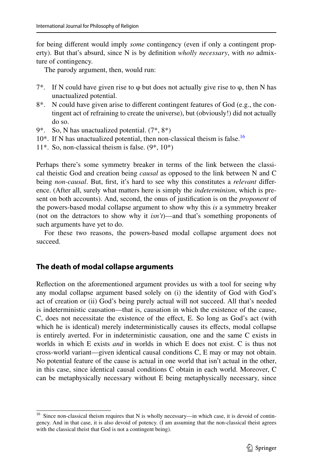for being diferent would imply *some* contingency (even if only a contingent property). But that's absurd, since N is by defnition *wholly necessary*, with *no* admixture of contingency.

The parody argument, then, would run:

- 7<sup>\*</sup>. If N could have given rise to  $\varphi$  but does not actually give rise to  $\varphi$ , then N has unactualized potential.
- 8\*. N could have given arise to diferent contingent features of God (e.g., the contingent act of refraining to create the universe), but (obviously!) did not actually do so.
- 9\*. So, N has unactualized potential. (7\*, 8\*)
- $10^*$ . If N has unactualized potential, then non-classical theism is false.<sup>[16](#page-12-0)</sup>
- 11\*. So, non-classical theism is false. (9\*, 10\*)

Perhaps there's some symmetry breaker in terms of the link between the classical theistic God and creation being *causal* as opposed to the link between N and C being *non-causal*. But, frst, it's hard to see why this constitutes a *relevant* diference. (After all, surely what matters here is simply the *indeterminism*, which is present on both accounts). And, second, the onus of justifcation is on the *proponent* of the powers-based modal collapse argument to show why this *is* a symmetry breaker (not on the detractors to show why it *isn't*)—and that's something proponents of such arguments have yet to do.

For these two reasons, the powers-based modal collapse argument does not succeed.

#### **The death of modal collapse arguments**

Refection on the aforementioned argument provides us with a tool for seeing why any modal collapse argument based solely on (i) the identity of God with God's act of creation or (ii) God's being purely actual will not succeed. All that's needed is indeterministic causation—that is, causation in which the existence of the cause, C, does not necessitate the existence of the effect, E. So long as God's act (with which he is identical) merely indeterministically causes its effects, modal collapse is entirely averted. For in indeterministic causation, one and the same C exists in worlds in which E exists *and* in worlds in which E does not exist. C is thus not cross-world variant—given identical causal conditions C, E may or may not obtain. No potential feature of the cause is actual in one world that isn't actual in the other, in this case, since identical causal conditions C obtain in each world. Moreover, C can be metaphysically necessary without E being metaphysically necessary, since

<span id="page-12-0"></span><sup>16</sup> Since non-classical theism requires that N is wholly necessary—in which case, it is devoid of contingency. And in that case, it is also devoid of potency. (I am assuming that the non-classical theist agrees with the classical theist that God is not a contingent being).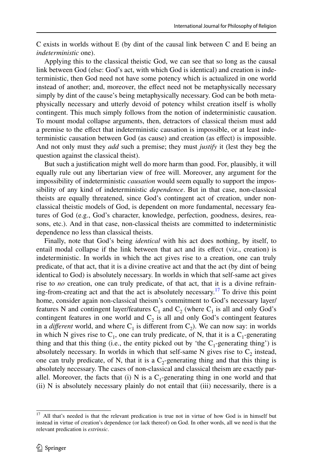C exists in worlds without E (by dint of the causal link between C and E being an *indeterministic* one).

Applying this to the classical theistic God, we can see that so long as the causal link between God (else: God's act, with which God is identical) and creation is indeterministic, then God need not have some potency which is actualized in one world instead of another; and, moreover, the efect need not be metaphysically necessary simply by dint of the cause's being metaphysically necessary. God can be both metaphysically necessary and utterly devoid of potency whilst creation itself is wholly contingent. This much simply follows from the notion of indeterministic causation. To mount modal collapse arguments, then, detractors of classical theism must add a premise to the efect that indeterministic causation is impossible, or at least indeterministic causation between God (as cause) and creation (as efect) is impossible. And not only must they *add* such a premise; they must *justify* it (lest they beg the question against the classical theist).

But such a justifcation might well do more harm than good. For, plausibly, it will equally rule out any libertarian view of free will. Moreover, any argument for the impossibility of indeterministic *causation* would seem equally to support the impossibility of any kind of indeterministic *dependence*. But in that case, non-classical theists are equally threatened, since God's contingent act of creation, under nonclassical theistic models of God, is dependent on more fundamental, necessary features of God (e.g., God's character, knowledge, perfection, goodness, desires, reasons, etc.). And in that case, non-classical theists are committed to indeterministic dependence no less than classical theists.

Finally, note that God's being *identical* with his act does nothing, by itself, to entail modal collapse if the link between that act and its efect (viz., creation) is indeterministic. In worlds in which the act gives rise to a creation, one can truly predicate, of that act, that it is a divine creative act and that the act (by dint of being identical to God) is absolutely necessary. In worlds in which that self-same act gives rise to *no* creation, one can truly predicate, of that act, that it is a divine refraining-from-creating act and that the act is absolutely necessary.<sup>17</sup> To drive this point home, consider again non-classical theism's commitment to God's necessary layer/ features N and contingent layer/features  $C_1$  and  $C_2$  (where  $C_1$  is all and only God's contingent features in one world and  $C_2$  is all and only God's contingent features in a *different* world, and where  $C_1$  is different from  $C_2$ ). We can now say: in worlds in which N gives rise to  $C_1$ , one can truly predicate, of N, that it is a  $C_1$ -generating thing and that this thing (i.e., the entity picked out by 'the  $C_1$ -generating thing') is absolutely necessary. In worlds in which that self-same N gives rise to  $C_2$  instead, one can truly predicate, of N, that it is a  $C_2$ -generating thing and that this thing is absolutely necessary. The cases of non-classical and classical theism are exactly parallel. Moreover, the facts that (i) N is a  $C_1$ -generating thing in one world and that (ii) N is absolutely necessary plainly do not entail that (iii) necessarily, there is a

<span id="page-13-0"></span><sup>&</sup>lt;sup>17</sup> All that's needed is that the relevant predication is true not in virtue of how God is in himself but instead in virtue of creation's dependence (or lack thereof) on God. In other words, all we need is that the relevant predication is *extrinsic*.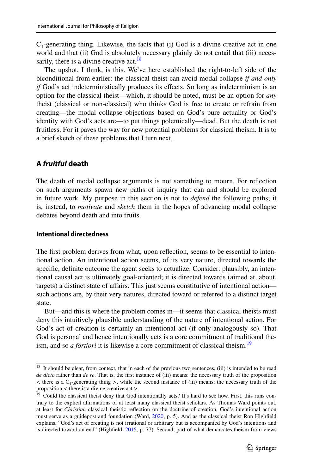$C_1$ -generating thing. Likewise, the facts that (i) God is a divine creative act in one world and that (ii) God is absolutely necessary plainly do not entail that (iii) neces-sarily, there is a divine creative act.<sup>[18](#page-14-0)</sup>

The upshot, I think, is this. We've here established the right-to-left side of the biconditional from earlier: the classical theist can avoid modal collapse *if and only if* God's act indeterministically produces its effects. So long as indeterminism is an option for the classical theist—which, it should be noted, must be an option for *any* theist (classical or non-classical) who thinks God is free to create or refrain from creating—the modal collapse objections based on God's pure actuality or God's identity with God's acts are—to put things polemically—dead. But the death is not fruitless. For it paves the way for new potential problems for classical theism. It is to a brief sketch of these problems that I turn next.

# **A** *fruitful* **death**

The death of modal collapse arguments is not something to mourn. For refection on such arguments spawn new paths of inquiry that can and should be explored in future work. My purpose in this section is not to *defend* the following paths; it is, instead, to *motivate* and *sketch* them in the hopes of advancing modal collapse debates beyond death and into fruits.

#### **Intentional directedness**

The frst problem derives from what, upon refection, seems to be essential to intentional action. An intentional action seems, of its very nature, directed towards the specifc, defnite outcome the agent seeks to actualize. Consider: plausibly, an intentional causal act is ultimately goal-oriented; it is directed towards (aimed at, about, targets) a distinct state of afairs. This just seems constitutive of intentional action such actions are, by their very natures, directed toward or referred to a distinct target state.

But—and this is where the problem comes in—it seems that classical theists must deny this intuitively plausible understanding of the nature of intentional action. For God's act of creation is certainly an intentional act (if only analogously so). That God is personal and hence intentionally acts is a core commitment of traditional theism, and so *a fortiori* it is likewise a core commitment of classical theism.<sup>[19](#page-14-1)</sup>

<span id="page-14-0"></span><sup>&</sup>lt;sup>18</sup> It should be clear, from context, that in each of the previous two sentences, (iii) is intended to be read *de dicto* rather than *de re*. That is, the frst instance of (iii) means: the necessary truth of the proposition  $\lt$  there is a C<sub>1</sub>-generating thing  $\gt$ , while the second instance of (iii) means: the necessary truth of the proposition < there is a divine creative act >.

<span id="page-14-1"></span><sup>&</sup>lt;sup>19</sup> Could the classical theist deny that God intentionally acts? It's hard to see how. First, this runs contrary to the explicit afrmations of at least many classical theist scholars. As Thomas Ward points out, at least for *Christian* classical theistic refection on the doctrine of creation, God's intentional action must serve as a guidepost and foundation (Ward, [2020,](#page-19-17) p. 5). And as the classical theist Ron Highfeld explains, "God's act of creating is not irrational or arbitrary but is accompanied by God's intentions and is directed toward an end" (Highfeld, [2015,](#page-19-18) p. 77). Second, part of what demarcates theism from views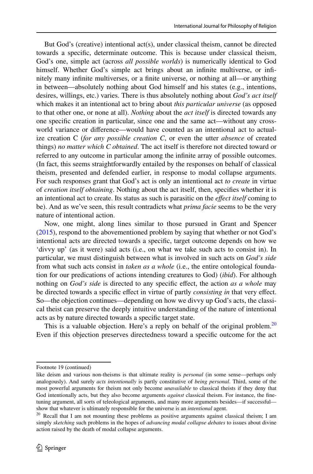But God's (creative) intentional  $act(s)$ , under classical theism, cannot be directed towards a specifc, determinate outcome. This is because under classical theism, God's one, simple act (across *all possible worlds*) is numerically identical to God himself. Whether God's simple act brings about an infnite multiverse, or infnitely many infnite multiverses, or a fnite universe, or nothing at all—or anything in between—absolutely nothing about God himself and his states (e.g., intentions, desires, willings, etc.) varies. There is thus absolutely nothing about *God's act itself* which makes it an intentional act to bring about *this particular universe* (as opposed to that other one, or none at all). *Nothing* about the *act itself* is directed towards any one specifc creation in particular, since one and the same act—without any crossworld variance or diference—would have counted as an intentional act to actualize creation C (*for any possible creation C*, or even the utter *absence* of created things) *no matter which C obtained*. The act itself is therefore not directed toward or referred to any outcome in particular among the infnite array of possible outcomes. (In fact, this seems straightforwardly entailed by the responses on behalf of classical theism, presented and defended earlier, in response to modal collapse arguments. For such responses grant that God's act is only an intentional act *to create* in virtue of *creation itself obtaining*. Nothing about the act itself, then, specifes whether it is an intentional act to create. Its status as such is parasitic on the *efect itself* coming to be). And as we've seen, this result contradicts what *prima facie* seems to be the very nature of intentional action.

Now, one might, along lines similar to those pursued in Grant and Spencer [\(2015](#page-18-10)), respond to the abovementioned problem by saying that whether or not God's intentional acts are directed towards a specifc, target outcome depends on how we 'divvy up' (as it were) said acts (i.e., on what we take such acts to consist in). In particular, we must distinguish between what is involved in such acts on *God's side* from what such acts consist in *taken as a whole* (i.e., the entire ontological foundation for our predications of actions intending creatures to God) (*ibid*). For although nothing on *God's side* is directed to any specifc efect, the action *as a whole* may be directed towards a specifc efect in virtue of partly *consisting in* that very efect. So—the objection continues—depending on how we divvy up God's acts, the classical theist can preserve the deeply intuitive understanding of the nature of intentional acts as by nature directed towards a specifc target state.

This is a valuable objection. Here's a reply on behalf of the original problem.<sup>[20](#page-15-0)</sup> Even if this objection preserves directedness toward a specifc outcome for the act

Footnote 19 (continued)

like deism and various non-theisms is that ultimate reality is *personal* (in some sense—perhaps only analogously). And surely *acts intentionally* is partly constitutive of *being personal*. Third, some of the most powerful arguments for theism not only become *unavailable* to classical theists if they deny that God intentionally acts, but they also become arguments *against* classical theism. For instance, the fnetuning argument, all sorts of teleological arguments, and many more arguments besides—if successful show that whatever is ultimately responsible for the universe is an *intentional* agent.

<span id="page-15-0"></span><sup>&</sup>lt;sup>20</sup> Recall that I am not mounting these problems as positive arguments against classical theism; I am simply *sketching* such problems in the hopes of *advancing modal collapse debates* to issues about divine action raised by the death of modal collapse arguments.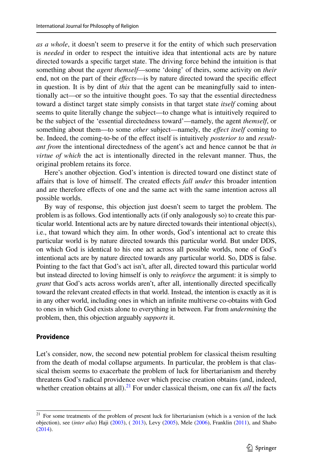*as a whole*, it doesn't seem to preserve it for the entity of which such preservation is *needed* in order to respect the intuitive idea that intentional acts are by nature directed towards a specifc target state. The driving force behind the intuition is that something about the *agent themself*—some 'doing' of theirs, some activity on *their* end, not on the part of their *effects*—is by nature directed toward the specific effect in question. It is by dint of *this* that the agent can be meaningfully said to intentionally act—or so the intuitive thought goes. To say that the essential directedness toward a distinct target state simply consists in that target state *itself* coming about seems to quite literally change the subject—to change what is intuitively required to be the subject of the 'essential directedness toward'—namely, the agent *themself*, or something about them—to some *other* subject—namely, the *efect itself* coming to be. Indeed, the coming-to-be of the efect itself is intuitively *posterior to* and *resultant from* the intentional directedness of the agent's act and hence cannot be that *in virtue of which* the act is intentionally directed in the relevant manner. Thus, the original problem retains its force.

Here's another objection. God's intention is directed toward one distinct state of afairs that is love of himself. The created efects *fall under* this broader intention and are therefore efects of one and the same act with the same intention across all possible worlds.

By way of response, this objection just doesn't seem to target the problem. The problem is as follows. God intentionally acts (if only analogously so) to create this particular world. Intentional acts are by nature directed towards their intentional object(s), i.e., that toward which they aim. In other words, God's intentional act to create this particular world is by nature directed towards this particular world. But under DDS, on which God is identical to his one act across all possible worlds, none of God's intentional acts are by nature directed towards any particular world. So, DDS is false. Pointing to the fact that God's act isn't, after all, directed toward this particular world but instead directed to loving himself is only to *reinforce* the argument: it is simply to *grant* that God's acts across worlds aren't, after all, intentionally directed specifcally toward the relevant created efects in that world. Instead, the intention is exactly as it is in any other world, including ones in which an infnite multiverse co-obtains with God to ones in which God exists alone to everything in between. Far from *undermining* the problem, then, this objection arguably *supports* it.

#### **Providence**

Let's consider, now, the second new potential problem for classical theism resulting from the death of modal collapse arguments. In particular, the problem is that classical theism seems to exacerbate the problem of luck for libertarianism and thereby threatens God's radical providence over which precise creation obtains (and, indeed, whether creation obtains at all).<sup>[21](#page-16-0)</sup> For under classical theism, one can fix *all* the facts

<span id="page-16-0"></span><sup>&</sup>lt;sup>21</sup> For some treatments of the problem of present luck for libertarianism (which is a version of the luck objection), see (*inter alia*) Haji ([2003\)](#page-18-11), ( [2013](#page-19-19)), Levy ([2005\)](#page-19-20), Mele ([2006\)](#page-19-21), Franklin [\(2011](#page-18-12)), and Shabo ([2014\)](#page-19-22).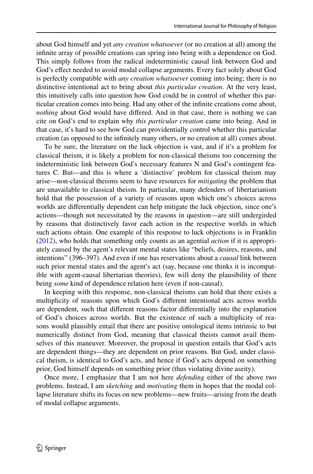about God himself and yet *any creation whatsoever* (or no creation at all) among the infnite array of possible creations can spring into being with a dependence on God. This simply follows from the radical indeterministic causal link between God and God's efect needed to avoid modal collapse arguments. Every fact solely about God is perfectly compatible with *any creation whatsoever* coming into being; there is no distinctive intentional act to bring about *this particular creation*. At the very least, this intuitively calls into question how God could be in control of whether this particular creation comes into being. Had any other of the infnite creations come about, *nothing* about God would have differed. And in that case, there is nothing we can cite on God's end to explain why *this particular creation* came into being. And in that case, it's hard to see how God can providentially control whether this particular creation (as opposed to the infnitely many others, or no creation at all) comes about.

To be sure, the literature on the luck objection is vast, and if it's a problem for classical theism, it is likely a problem for non-classical theisms too concerning the indeterministic link between God's necessary features N and God's contingent features C. But—and this is where a 'distinctive' problem for classical theism may arise—non-classical theisms seem to have resources for *mitigating* the problem that are unavailable to classical theism. In particular, many defenders of libertarianism hold that the possession of a variety of reasons upon which one's choices across worlds are diferentially dependent can help mitigate the luck objection, since one's actions—though not necessitated by the reasons in question—are still undergirded by reasons that distinctively favor each action in the respective worlds in which such actions obtain. One example of this response to luck objections is in Franklin [\(2012](#page-18-13)), who holds that something only counts as an agential *action* if it is appropriately caused by the agent's relevant mental states like "beliefs, desires, reasons, and intentions" (396–397). And even if one has reservations about a *causal* link between such prior mental states and the agent's act (say, because one thinks it is incompatible with agent-causal libertarian theories), few will deny the plausibility of there being *some* kind of dependence relation here (even if non-causal).

In keeping with this response, non-classical theisms can hold that there exists a multiplicity of reasons upon which God's diferent intentional acts across worlds are dependent, such that diferent reasons factor diferentially into the explanation of God's choices across worlds. But the existence of such a multiplicity of reasons would plausibly entail that there are positive ontological items intrinsic to but numerically distinct from God, meaning that classical theists cannot avail themselves of this maneuver. Moreover, the proposal in question entails that God's acts are dependent things—they are dependent on prior reasons. But God, under classical theism, is identical to God's acts, and hence if God's acts depend on something prior, God himself depends on something prior (thus violating divine aseity).

Once more, I emphasize that I am not here *defending* either of the above two problems. Instead, I am *sketching* and *motivating* them in hopes that the modal collapse literature shifts its focus on new problems—new fruits—arising from the death of modal collapse arguments.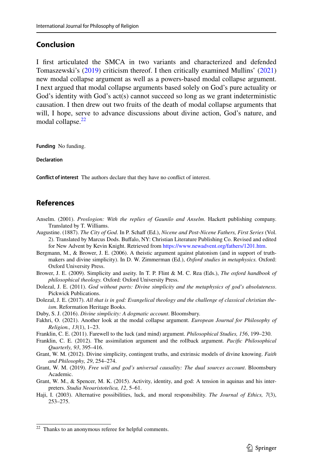## **Conclusion**

I frst articulated the SMCA in two variants and characterized and defended Tomaszewski's [\(2019](#page-19-14)) criticism thereof. I then critically examined Mullins' [\(2021](#page-19-2)) new modal collapse argument as well as a powers-based modal collapse argument. I next argued that modal collapse arguments based solely on God's pure actuality or God's identity with God's act(s) cannot succeed so long as we grant indeterministic causation. I then drew out two fruits of the death of modal collapse arguments that will, I hope, serve to advance discussions about divine action, God's nature, and modal collapse.<sup>[22](#page-18-14)</sup>

**Funding** No funding.

**Declaration**

**Confict of interest** The authors declare that they have no confict of interest.

# **References**

- <span id="page-18-2"></span>Anselm. (2001). *Proslogion: With the replies of Gaunilo and Anselm*. Hackett publishing company. Translated by T. Williams.
- <span id="page-18-1"></span>Augustine. (1887). *The City of God*. In P. Schaff (Ed.), *Nicene and Post-Nicene Fathers, First Series* (Vol. 2). Translated by Marcus Dods. Bufalo, NY: Christian Literature Publishing Co. Revised and edited for New Advent by Kevin Knight. Retrieved from [https://www.newadvent.org/fathers/1201.htm.](https://www.newadvent.org/fathers/1201.htm)
- <span id="page-18-3"></span>Bergmann, M., & Brower, J. E. (2006). A theistic argument against platonism (and in support of truthmakers and divine simplicity). In D. W. Zimmerman (Ed.), *Oxford studies in metaphysics.* Oxford: Oxford University Press.

<span id="page-18-6"></span>Brower, J. E. (2009). Simplicity and aseity. In T. P. Flint & M. C. Rea (Eds.), *The oxford handbook of philosophical theology.* Oxford: Oxford University Press.

- <span id="page-18-8"></span>Dolezal, J. E. (2011). *God without parts: Divine simplicity and the metaphysics of god's absoluteness*. Pickwick Publications.
- <span id="page-18-4"></span>Dolezal, J. E. (2017). *All that is in god: Evangelical theology and the challenge of classical christian theism*. Reformation Heritage Books.
- <span id="page-18-5"></span>Duby, S. J. (2016). *Divine simplicity: A dogmatic account*. Bloomsbury.
- <span id="page-18-0"></span>Fakhri, O. (2021). Another look at the modal collapse argument. *European Journal for Philosophy of Religion., 13*(1), 1–23.
- <span id="page-18-12"></span>Franklin, C. E. (2011). Farewell to the luck (and mind) argument. *Philosophical Studies, 156*, 199–230.
- <span id="page-18-13"></span>Franklin, C. E. (2012). The assimilation argument and the rollback argument. *Pacifc Philosophical Quarterly, 93*, 395–416.

<span id="page-18-7"></span>Grant, W. M. (2012). Divine simplicity, contingent truths, and extrinsic models of divine knowing. *Faith and Philosophy, 29*, 254–274.

- <span id="page-18-9"></span>Grant, W. M. (2019). *Free will and god's universal causality: The dual sources account*. Bloomsbury Academic.
- <span id="page-18-10"></span>Grant, W. M., & Spencer, M. K. (2015). Activity, identity, and god: A tension in aquinas and his interpreters. *Studia Neoaristotelica, 12*, 5–61.
- <span id="page-18-11"></span>Haji, I. (2003). Alternative possibilities, luck, and moral responsibility. *The Journal of Ethics, 7*(3), 253–275.

<span id="page-18-14"></span><sup>&</sup>lt;sup>22</sup> Thanks to an anonymous referee for helpful comments.